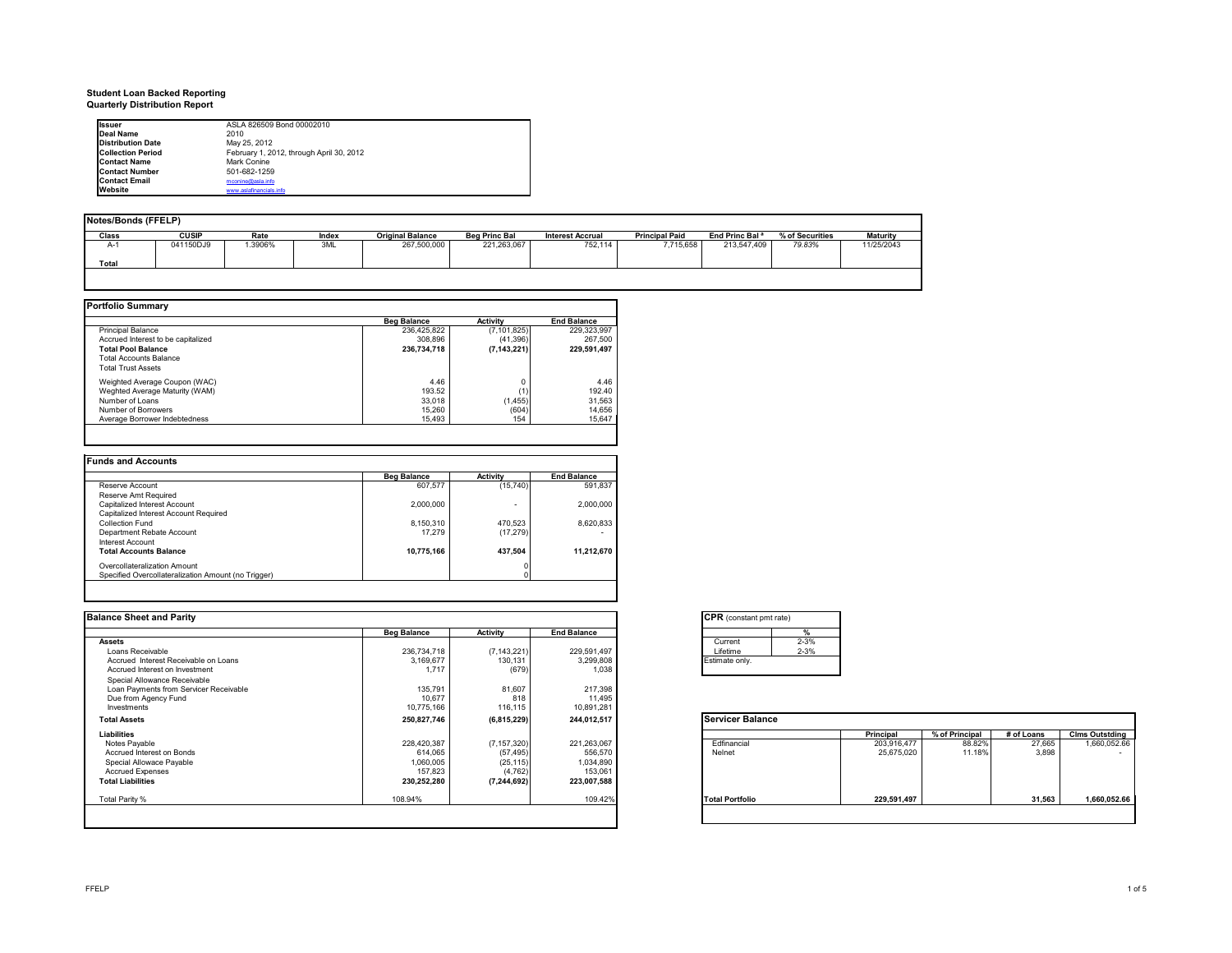# **Student Loan Backed Reporting Quarterly Distribution Report**

| <b>Issuer</b>            | ASLA 826509 Bond 00002010                |  |
|--------------------------|------------------------------------------|--|
| Deal Name                | 2010                                     |  |
| <b>Distribution Date</b> | May 25, 2012                             |  |
| <b>Collection Period</b> | February 1, 2012, through April 30, 2012 |  |
| <b>Contact Name</b>      | Mark Conine                              |  |
| <b>Contact Number</b>    | 501-682-1259                             |  |
| <b>Contact Email</b>     | mconine@asla.info                        |  |
| Website                  | www.aslafinancials.info                  |  |

| Notes/Bonds (FFELP) |              |        |       |                         |                      |                         |                       |                            |                 |                 |
|---------------------|--------------|--------|-------|-------------------------|----------------------|-------------------------|-----------------------|----------------------------|-----------------|-----------------|
|                     |              |        |       |                         |                      |                         |                       |                            |                 |                 |
| Class               | <b>CUSIP</b> | Rate   | Index | <b>Original Balance</b> | <b>Beg Princ Bal</b> | <b>Interest Accrual</b> | <b>Principal Paid</b> | End Princ Bal <sup>a</sup> | % of Securities | <b>Maturity</b> |
| $A-1$               | 041150DJ9    | .3906% | 3ML   | 267,500,000             | 221,263,067          | 752,114                 | 7,715,658             | 213.547.409                | 79.83%          | 11/25/2043      |
| Total               |              |        |       |                         |                      |                         |                       |                            |                 |                 |
|                     |              |        |       |                         |                      |                         |                       |                            |                 |                 |

|                                    | <b>Beg Balance</b> | Activity      | <b>End Balance</b> |
|------------------------------------|--------------------|---------------|--------------------|
| <b>Principal Balance</b>           | 236.425.822        | (7, 101, 825) | 229.323.997        |
| Accrued Interest to be capitalized | 308.896            | (41, 396)     | 267.500            |
| <b>Total Pool Balance</b>          | 236,734,718        | (7, 143, 221) | 229,591,497        |
| <b>Total Accounts Balance</b>      |                    |               |                    |
| <b>Total Trust Assets</b>          |                    |               |                    |
| Weighted Average Coupon (WAC)      | 4.46               |               | 4.46               |
| Weghted Average Maturity (WAM)     | 193.52             | (1)           | 192.40             |
| Number of Loans                    | 33.018             | (1, 455)      | 31.563             |
| Number of Borrowers                | 15.260             | (604)         | 14.656             |
| Average Borrower Indebtedness      | 15,493             | 154           | 15.647             |

|                                                     | <b>Beg Balance</b> | Activity  | <b>End Balance</b> |
|-----------------------------------------------------|--------------------|-----------|--------------------|
| Reserve Account                                     | 607.577            | (15, 740) | 591.837            |
| Reserve Amt Required                                |                    |           |                    |
| Capitalized Interest Account                        | 2.000.000          | ۰         | 2.000.000          |
| Capitalized Interest Account Required               |                    |           |                    |
| Collection Fund                                     | 8,150,310          | 470,523   | 8.620.833          |
| Department Rebate Account                           | 17.279             | (17, 279) |                    |
| Interest Account                                    |                    |           |                    |
| <b>Total Accounts Balance</b>                       | 10,775,166         | 437,504   | 11,212,670         |
| Overcollateralization Amount                        |                    |           |                    |
| Specified Overcollateralization Amount (no Trigger) |                    |           |                    |

| <b>Balance Sheet and Parity</b>        |                    |               |                    | <b>CPR</b> (constant pmt rate) |             |                |            |                          |
|----------------------------------------|--------------------|---------------|--------------------|--------------------------------|-------------|----------------|------------|--------------------------|
|                                        | <b>Beg Balance</b> | Activity      | <b>End Balance</b> | $\frac{9}{6}$                  |             |                |            |                          |
| <b>Assets</b>                          |                    |               |                    | $2 - 3%$<br>Current            |             |                |            |                          |
| Loans Receivable                       | 236,734,718        | (7, 143, 221) | 229,591,497        | $2 - 3%$<br>Lifetime           |             |                |            |                          |
| Accrued Interest Receivable on Loans   | 3,169,677          | 130,131       | 3,299,808          | Estimate only.                 |             |                |            |                          |
| Accrued Interest on Investment         | 1.717              | (679)         | 1,038              |                                |             |                |            |                          |
| Special Allowance Receivable           |                    |               |                    |                                |             |                |            |                          |
| Loan Payments from Servicer Receivable | 135,791            | 81,607        | 217,398            |                                |             |                |            |                          |
| Due from Agency Fund                   | 10,677             | 818           | 11,495             |                                |             |                |            |                          |
| Investments                            | 10,775,166         | 116,115       | 10,891,281         |                                |             |                |            |                          |
| <b>Total Assets</b>                    | 250,827,746        | (6,815,229)   | 244,012,517        | <b>Servicer Balance</b>        |             |                |            |                          |
| Liabilities                            |                    |               |                    |                                | Principal   | % of Principal | # of Loans | <b>Clms Outstding</b>    |
| Notes Payable                          | 228,420,387        | (7, 157, 320) | 221,263,067        | Edfinancial                    | 203,916,477 | 88.82%         | 27,665     | 1,660,052.66             |
| Accrued Interest on Bonds              | 614,065            | (57, 495)     | 556,570            | Nelnet                         | 25,675,020  | 11.18%         | 3.898      | $\overline{\phantom{a}}$ |
| Special Allowace Payable               | 1,060,005          | (25, 115)     | 1,034,890          |                                |             |                |            |                          |
| <b>Accrued Expenses</b>                | 157,823            | (4, 762)      | 153,061            |                                |             |                |            |                          |
| <b>Total Liabilities</b>               | 230,252,280        | (7, 244, 692) | 223,007,588        |                                |             |                |            |                          |
| Total Parity %                         | 108.94%            |               | 109.42%            | <b>Total Portfolio</b>         | 229,591,497 |                | 31,563     | 1,660,052.66             |
|                                        |                    |               |                    |                                |             |                |            |                          |
|                                        |                    |               |                    |                                |             |                |            |                          |

| Current   | $2 - 3%$ |
|-----------|----------|
| I ifetime | $2 - 3%$ |

|                        | Principal   | % of Principal | $#$ of Loans | <b>Clms Outstding</b> |
|------------------------|-------------|----------------|--------------|-----------------------|
| Edfinancial            | 203,916,477 | 88.82%         | 27,665       | 1,660,052.66          |
| Nelnet                 | 25,675,020  | 11.18%         | 3,898        |                       |
| <b>Total Portfolio</b> | 229,591,497 |                | 31.563       | 1,660,052.66          |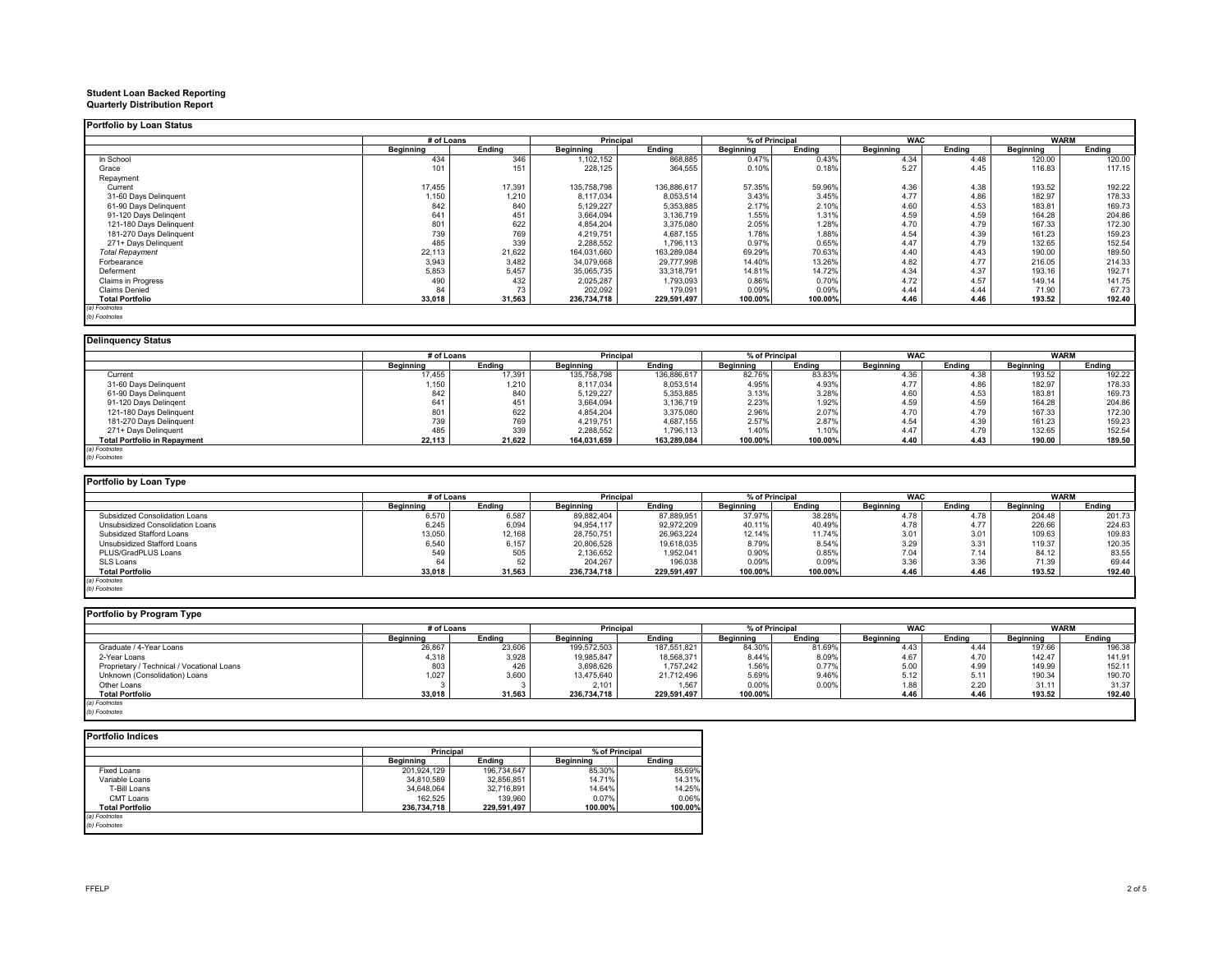# **Student Loan Backed Reporting Quarterly Distribution Report**

|                         | # of Loans |        | Principal   |             | % of Principal |         | <b>WAC</b> |        | <b>WARM</b> |        |
|-------------------------|------------|--------|-------------|-------------|----------------|---------|------------|--------|-------------|--------|
|                         | Beginning  | Endina | Beginning   | Endina      | Beainnina      | Ending  | Beginning  | Endina | Beginning   | Endina |
| In School               | 434        | 346    | 1,102,152   | 868,885     | 0.47%          | 0.43%   | 4.34       | 4.48   | 120.00      | 120.00 |
| Grace                   | 101        | 151    | 228,125     | 364,555     | 0.10%          | 0.18%   | 5.27       | 4.45   | 116.83      | 117.15 |
| Repayment               |            |        |             |             |                |         |            |        |             |        |
| Current                 | 17,455     | 17,391 | 135,758,798 | 136,886,617 | 57.35%         | 59.96%  | 4.36       | 4.38   | 193.52      | 192.22 |
| 31-60 Days Delinquent   | 1,150      | 1,210  | 8,117,034   | 8,053,514   | 3.43%          | 3.45%   | 4.77       | 4.86   | 182.97      | 178.33 |
| 61-90 Days Delinquent   | 842        | 840    | 5,129,227   | 5,353,885   | 2.17%          | 2.10%   | 4.60       | 4.53   | 183.81      | 169.73 |
| 91-120 Days Delingent   | 641        | 451    | 3,664,094   | 3,136,719   | 1.55%          | 1.31%   | 4.59       | 4.59   | 164.28      | 204.86 |
| 121-180 Days Delinguent | 801        | 622    | 4,854,204   | 3,375,080   | 2.05%          | 1.28%   | 4.70       | 4.79   | 167.33      | 172.30 |
| 181-270 Days Delinguent | 739        | 769    | 4,219,751   | 4,687,155   | 1.78%          | 1.88%   | 4.54       | 4.39   | 161.23      | 159.23 |
| 271+ Davs Delinquent    | 485        | 339    | 2,288,552   | 1,796,113   | 0.97%          | 0.65%   | 4.47       | 4.79   | 132.65      | 152.54 |
| <b>Total Repayment</b>  | 22,113     | 21,622 | 164,031,660 | 163,289,084 | 69.29%         | 70.63%  | 4.40       | 4.43   | 190.00      | 189.50 |
| Forbearance             | 3,943      | 3,482  | 34,079,668  | 29,777,998  | 14.40%         | 13.26%  | 4.82       | 4.77   | 216.05      | 214.33 |
| Deferment               | 5,853      | 5,457  | 35,065,735  | 33,318,791  | 14.81%         | 14.72%  | 4.34       | 4.37   | 193.16      | 192.71 |
| Claims in Progress      | 490        | 432    | 2,025,287   | 1,793,093   | 0.86%          | 0.70%   | 4.72       | 4.57   | 149.14      | 141.75 |
| Claims Denied           | 84         | 73     | 202,092     | 179,091     | 0.09%          | 0.09%   | 4.44       | 4.44   | 71.90       | 67.73  |
| <b>Total Portfolio</b>  | 33,018     | 31,563 | 236,734,718 | 229,591,497 | 100.00%        | 100.00% | 4.46       | 4.46   | 193.52      | 192.40 |

| <b>Delinquency Status</b>           |            |        |             |             |           |                |            |        |           |             |
|-------------------------------------|------------|--------|-------------|-------------|-----------|----------------|------------|--------|-----------|-------------|
|                                     | # of Loans |        | Principal   |             |           | % of Principal | <b>WAC</b> |        |           | <b>WARM</b> |
|                                     | Beainnina  | Endina | Beainnina   | Endina      | Beainnina | Endina         | Beginning  | Endina | Beginning | Endina      |
| Current                             | 17,455     | 17,391 | 135,758,798 | 136,886,617 | 82.76%    | 83.83%         | 4.36       | 4.38   | 193.52    | 192.22      |
| 31-60 Days Delinquent               | 1,150      | 1,210  | 8,117,034   | 8,053,514   | 4.95%     | 4.93%          | 4.77       | 4.86   | 182.97    | 178.33      |
| 61-90 Days Delinquent               | 842        | 840    | 5,129,227   | 5,353,885   | 3.13%     | 3.28%          | 4.60       | 4.53   | 183.81    | 169.73      |
| 91-120 Days Delingent               | 641        | 451    | 3,664,094   | 3,136,719   | 2.23%     | 1.92%          | 4.59       | 4.59   | 164.28    | 204.86      |
| 121-180 Days Delinquent             | 801        | 622    | 4,854,204   | 3,375,080   | 2.96%     | 2.07%          | 4.70       | 4.79   | 167.33    | 172.30      |
| 181-270 Days Delinquent             | 739        | 769    | 4,219,751   | 4,687,155   | 2.57%     | 2.87%          | 4.54       | 4.39   | 161.23    | 159.23      |
| 271+ Days Delinquent                | 485        | 339    | 2,288,552   | 1,796,113   | 1.40%     | 1.10%          | 4.47       | 4.79   | 132.65    | 152.54      |
| <b>Total Portfolio in Repayment</b> | 22,113     | 21.622 | 164,031,659 | 163,289,084 | 100.00%   | 100.00%        | 4.40       | 4.43   | 190.00    | 189.50      |
| (a) Footnotes                       |            |        |             |             |           |                |            |        |           |             |
| (b) Footnotes                       |            |        |             |             |           |                |            |        |           |             |

| Portfolio by Loan Type           |                  |        |             |             |                  |         |                  |        |                  |        |
|----------------------------------|------------------|--------|-------------|-------------|------------------|---------|------------------|--------|------------------|--------|
|                                  | # of Loans       |        | Principal   |             | % of Principal   |         | <b>WAC</b>       |        | <b>WARM</b>      |        |
|                                  | <b>Beainning</b> | Endina | Beainnina   | Endina      | <b>Beginning</b> | Endina  | <b>Beainning</b> | Endina | <b>Beainning</b> | Endina |
| Subsidized Consolidation Loans   | 6,570            | 6,587  | 89.882.404  | 87,889,951  | 37.97%           | 38.28%  | 4.78             | 4.78   | 204.48           | 201.73 |
| Unsubsidized Consolidation Loans | 6,245            | 6.094  | 94.954.117  | 92.972.209  | 40.11%           | 40.49%  | 4.78             | 4.77   | 226.66           | 224.63 |
| Subsidized Stafford Loans        | 13,050           | 12,168 | 28,750,751  | 26,963,224  | 12.14%           | 11.74%  | 3.01             | 3.01   | 109.63           | 109.83 |
| Unsubsidized Stafford Loans      | 6,540            | 6.157  | 20,806,528  | 19.618.035  | 8.79%            | 8.54%   | 3.29             | 3.31   | 119.37           | 120.35 |
| PLUS/GradPLUS Loans              | 549              | 505    | 2,136,652   | 1,952,041   | 0.90%            | 0.85%   | 7.04             | 7.14   | 84.12            | 83.55  |
| SLS Loans                        | 64               |        | 204.267     | 196,038     | 0.09%            | 0.09%   | 3.36             | 3.36   | 71.39            | 69.44  |
| <b>Total Portfolio</b>           | 33,018           | 31.563 | 236.734.718 | 229.591.497 | 100.00%          | 100.00% | 4.46             | 4.46   | 193.52           | 192.40 |
| (a) Footnotes                    |                  |        |             |             |                  |         |                  |        |                  |        |

*(b) Footnotes*

| Portfolio by Program Type                  |            |        |                  |             |                |        |            |        |             |        |
|--------------------------------------------|------------|--------|------------------|-------------|----------------|--------|------------|--------|-------------|--------|
|                                            | # of Loans |        | Principal        |             | % of Principal |        | <b>WAC</b> |        | <b>WARM</b> |        |
|                                            | Beainnina  | Endina | <b>Beginning</b> | Endina      | Beainnina      | Endina | Beainnina  | Endina | Beainnina   | Ending |
| Graduate / 4-Year Loans                    | 26,867     | 23,606 | 199,572,503      | 187,551,821 | 84.30%         | 81.69% | 4.43       | 4.44   | 197.66      | 196.38 |
| 2-Year Loans                               | 4,318      | 3,928  | 19,985,847       | 18,568,371  | 8.44%          | 8.09%  | 4.67       | 4.70   | 142.47      | 141.91 |
| Proprietary / Technical / Vocational Loans | 803        | 426    | 3,698,626        | 1.757.242   | 1.56%          | 0.77%  | 5.00       | 4.99   | 149.99      | 152.11 |
| Unknown (Consolidation) Loans              | 1,027      | 3,600  | 13,475,640       | 21,712,496  | 5.69%          | 9.46%  | 5.12       | 5.11   | 190.34      | 190.70 |
| Other Loans                                |            |        | 2,101            | 1.567       | 0.00%          | 0.00%  | 1.88       | 2.20   | 31.11       | 31.37  |
| <b>Total Portfolio</b>                     | 33,018     | 31.563 | 236.734.718      | 229.591.497 | 100.00%        |        | 4.46       | 4.46   | 193.52      | 192.40 |
| (a) Footnotes                              |            |        |                  |             |                |        |            |        |             |        |
| (b) Footnotes                              |            |        |                  |             |                |        |            |        |             |        |

|                        | <b>Principal</b> |             | % of Principal |         |
|------------------------|------------------|-------------|----------------|---------|
|                        | Beainnina        | Endina      | Beainnina      | Endina  |
| Fixed Loans            | 201.924.129      | 196.734.647 | 85.30%         | 85.69%  |
| Variable Loans         | 34.810.589       | 32.856.851  | 14.71%         | 14.31%  |
| T-Bill Loans           | 34.648.064       | 32,716,891  | 14.64%         | 14.25%  |
| CMT Loans              | 162.525          | 139,960     | 0.07%          | 0.06%   |
| <b>Total Portfolio</b> | 236,734,718      | 229,591,497 | 100.00%        | 100.00% |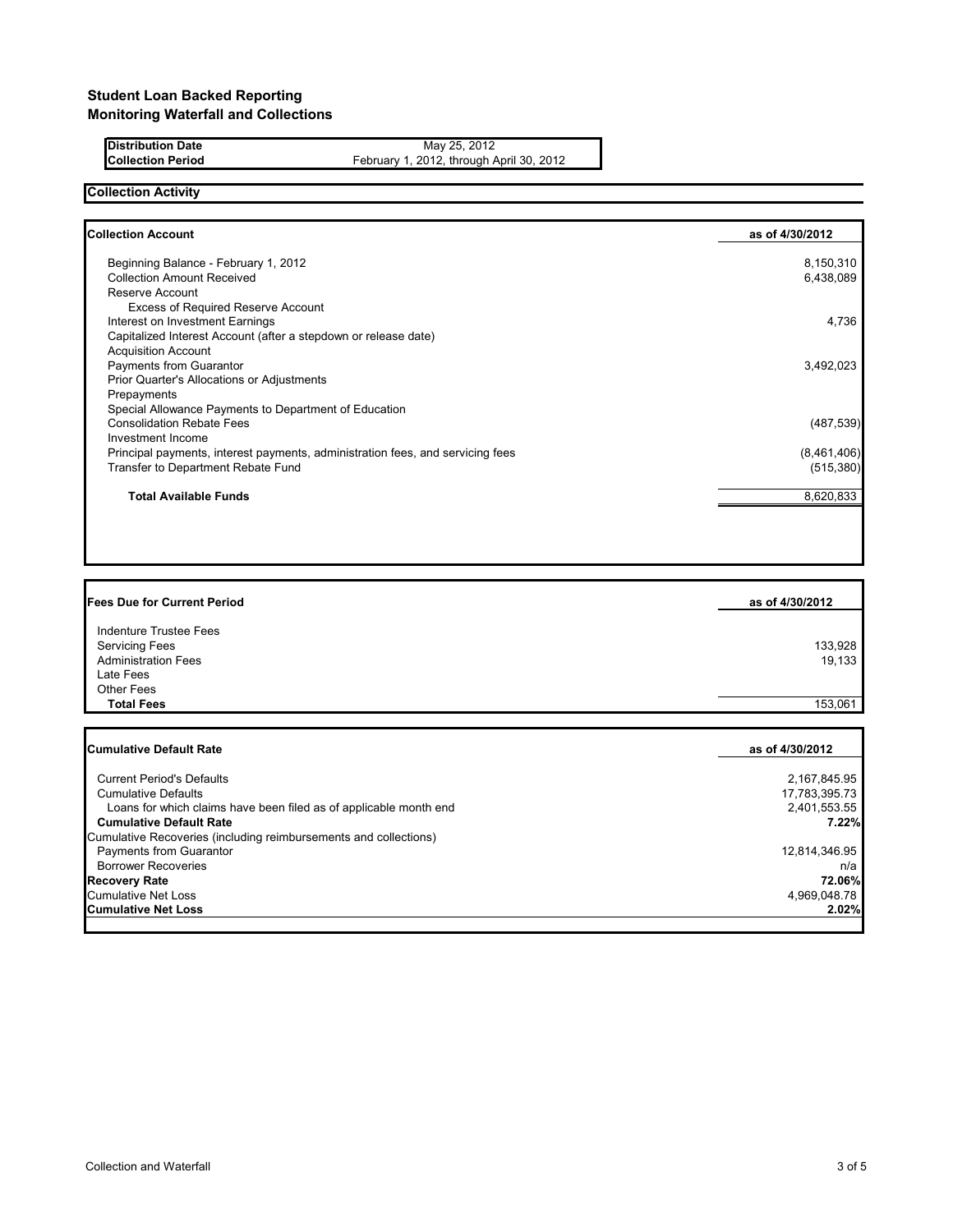**Distribution Date** May 25, 2012 **Collection Period** February 1, 2012, through April 30, 2012

## **Collection Activity**

| <b>Collection Account</b>                                                      | as of 4/30/2012 |
|--------------------------------------------------------------------------------|-----------------|
| Beginning Balance - February 1, 2012                                           | 8,150,310       |
| <b>Collection Amount Received</b>                                              | 6,438,089       |
| Reserve Account                                                                |                 |
| Excess of Required Reserve Account                                             |                 |
| Interest on Investment Earnings                                                | 4,736           |
| Capitalized Interest Account (after a stepdown or release date)                |                 |
| <b>Acquisition Account</b>                                                     |                 |
| Payments from Guarantor                                                        | 3,492,023       |
| Prior Quarter's Allocations or Adjustments                                     |                 |
| Prepayments                                                                    |                 |
| Special Allowance Payments to Department of Education                          |                 |
| <b>Consolidation Rebate Fees</b>                                               | (487, 539)      |
| Investment Income                                                              |                 |
| Principal payments, interest payments, administration fees, and servicing fees | (8,461,406)     |
| Transfer to Department Rebate Fund                                             | (515, 380)      |
| <b>Total Available Funds</b>                                                   | 8,620,833       |
|                                                                                |                 |

| <b>Fees Due for Current Period</b> | as of 4/30/2012 |
|------------------------------------|-----------------|
| Indenture Trustee Fees             |                 |
| <b>Servicing Fees</b>              | 133,928         |
| <b>Administration Fees</b>         | 19,133          |
| Late Fees                          |                 |
| <b>Other Fees</b>                  |                 |
| <b>Total Fees</b>                  | 153,061         |
|                                    |                 |

| <b>Cumulative Default Rate</b>                                    | as of 4/30/2012 |
|-------------------------------------------------------------------|-----------------|
|                                                                   |                 |
| <b>Current Period's Defaults</b>                                  | 2,167,845.95    |
| <b>Cumulative Defaults</b>                                        | 17,783,395.73   |
| Loans for which claims have been filed as of applicable month end | 2,401,553.55    |
| <b>Cumulative Default Rate</b>                                    | 7.22%           |
| Cumulative Recoveries (including reimbursements and collections)  |                 |
| Payments from Guarantor                                           | 12,814,346.95   |
| <b>Borrower Recoveries</b>                                        | n/a             |
| <b>Recovery Rate</b>                                              | 72.06%          |
| <b>Cumulative Net Loss</b>                                        | 4,969,048.78    |
| <b>Cumulative Net Loss</b>                                        | 2.02%           |
|                                                                   |                 |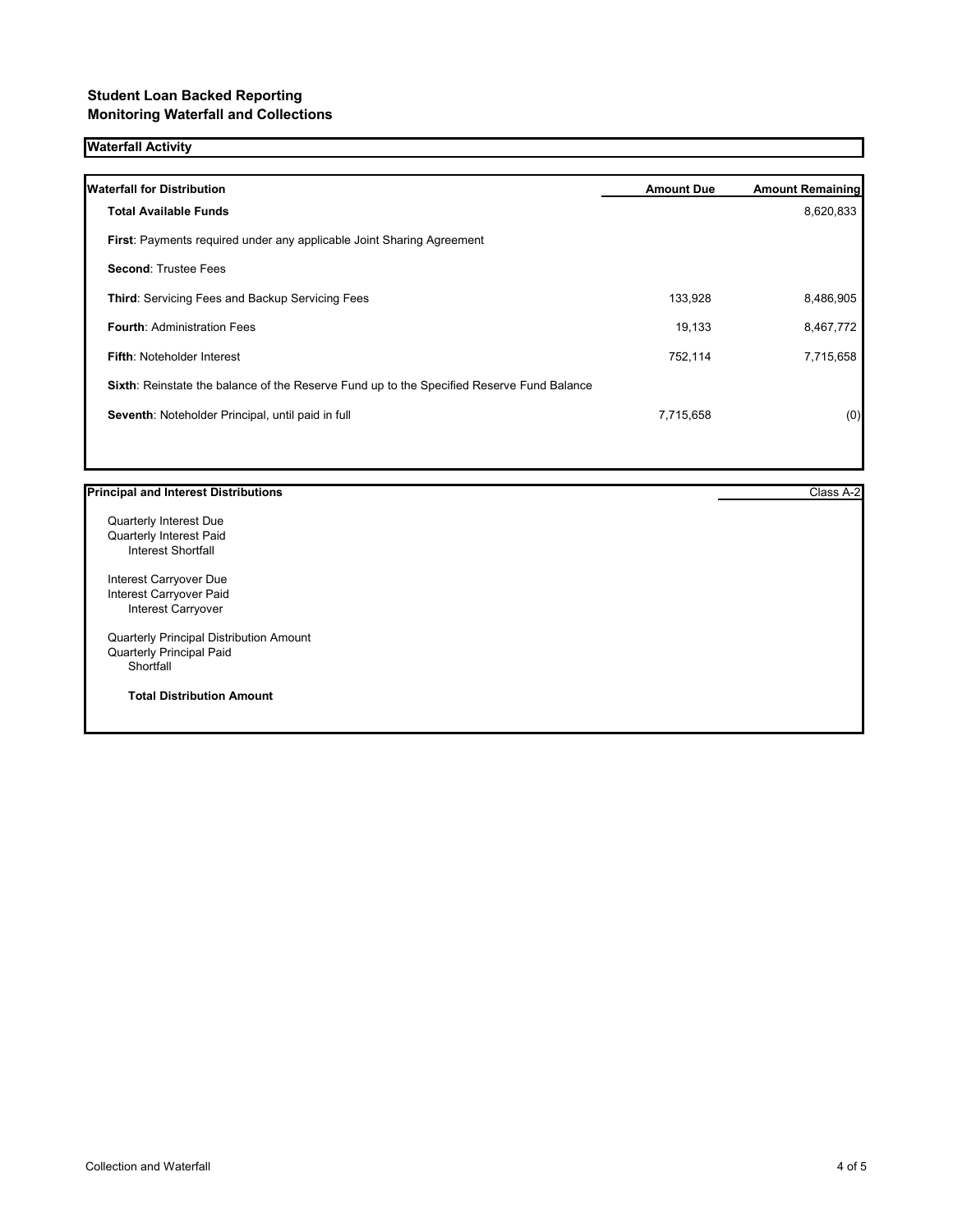### **Student Loan Backed Reporting Monitoring Waterfall and Collections**

### **Waterfall Activity**

| <b>Waterfall for Distribution</b>                                                         | <b>Amount Due</b> | <b>Amount Remaining</b> |
|-------------------------------------------------------------------------------------------|-------------------|-------------------------|
| <b>Total Available Funds</b>                                                              |                   | 8,620,833               |
| <b>First:</b> Payments required under any applicable Joint Sharing Agreement              |                   |                         |
| <b>Second: Trustee Fees</b>                                                               |                   |                         |
| <b>Third:</b> Servicing Fees and Backup Servicing Fees                                    | 133,928           | 8,486,905               |
| <b>Fourth: Administration Fees</b>                                                        | 19,133            | 8,467,772               |
| <b>Fifth: Noteholder Interest</b>                                                         | 752,114           | 7,715,658               |
| Sixth: Reinstate the balance of the Reserve Fund up to the Specified Reserve Fund Balance |                   |                         |
| Seventh: Noteholder Principal, until paid in full                                         | 7,715,658         | (0)                     |
|                                                                                           |                   |                         |

#### **Principal and Interest Distributions** Class A-2

Quarterly Interest Due Quarterly Interest Paid Interest Shortfall

Interest Carryover Due Interest Carryover Paid Interest Carryover

Quarterly Principal Distribution Amount Quarterly Principal Paid Shortfall

**Total Distribution Amount**